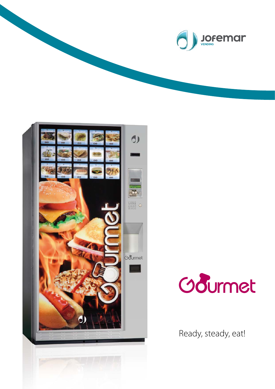



Odurmet

Ready, steady, eat!